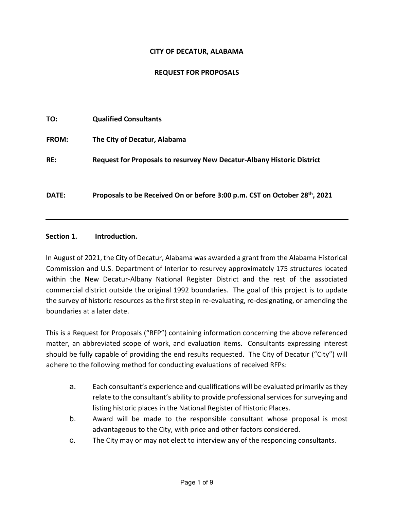#### **CITY OF DECATUR, ALABAMA**

### **REQUEST FOR PROPOSALS**

| TO:          | <b>Qualified Consultants</b>                                                  |
|--------------|-------------------------------------------------------------------------------|
| <b>FROM:</b> | The City of Decatur, Alabama                                                  |
| RE:          | <b>Request for Proposals to resurvey New Decatur-Albany Historic District</b> |
| <b>DATE:</b> | Proposals to be Received On or before 3:00 p.m. CST on October 28th, 2021     |

#### **Section 1. Introduction.**

In August of 2021, the City of Decatur, Alabama was awarded a grant from the Alabama Historical Commission and U.S. Department of Interior to resurvey approximately 175 structures located within the New Decatur-Albany National Register District and the rest of the associated commercial district outside the original 1992 boundaries. The goal of this project is to update the survey of historic resources as the first step in re-evaluating, re-designating, or amending the boundaries at a later date.

This is a Request for Proposals ("RFP") containing information concerning the above referenced matter, an abbreviated scope of work, and evaluation items. Consultants expressing interest should be fully capable of providing the end results requested. The City of Decatur ("City") will adhere to the following method for conducting evaluations of received RFPs:

- a. Each consultant's experience and qualifications will be evaluated primarily as they relate to the consultant's ability to provide professional services for surveying and listing historic places in the National Register of Historic Places.
- b. Award will be made to the responsible consultant whose proposal is most advantageous to the City, with price and other factors considered.
- c. The City may or may not elect to interview any of the responding consultants.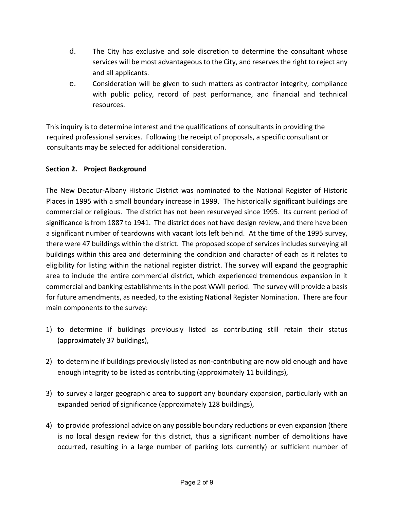- d. The City has exclusive and sole discretion to determine the consultant whose services will be most advantageous to the City, and reserves the right to reject any and all applicants.
- e. Consideration will be given to such matters as contractor integrity, compliance with public policy, record of past performance, and financial and technical resources.

This inquiry is to determine interest and the qualifications of consultants in providing the required professional services. Following the receipt of proposals, a specific consultant or consultants may be selected for additional consideration.

# **Section 2. Project Background**

The New Decatur-Albany Historic District was nominated to the National Register of Historic Places in 1995 with a small boundary increase in 1999. The historically significant buildings are commercial or religious. The district has not been resurveyed since 1995. Its current period of significance is from 1887 to 1941. The district does not have design review, and there have been a significant number of teardowns with vacant lots left behind. At the time of the 1995 survey, there were 47 buildings within the district. The proposed scope of services includes surveying all buildings within this area and determining the condition and character of each as it relates to eligibility for listing within the national register district. The survey will expand the geographic area to include the entire commercial district, which experienced tremendous expansion in it commercial and banking establishments in the post WWII period. The survey will provide a basis for future amendments, as needed, to the existing National Register Nomination. There are four main components to the survey:

- 1) to determine if buildings previously listed as contributing still retain their status (approximately 37 buildings),
- 2) to determine if buildings previously listed as non-contributing are now old enough and have enough integrity to be listed as contributing (approximately 11 buildings),
- 3) to survey a larger geographic area to support any boundary expansion, particularly with an expanded period of significance (approximately 128 buildings),
- 4) to provide professional advice on any possible boundary reductions or even expansion (there is no local design review for this district, thus a significant number of demolitions have occurred, resulting in a large number of parking lots currently) or sufficient number of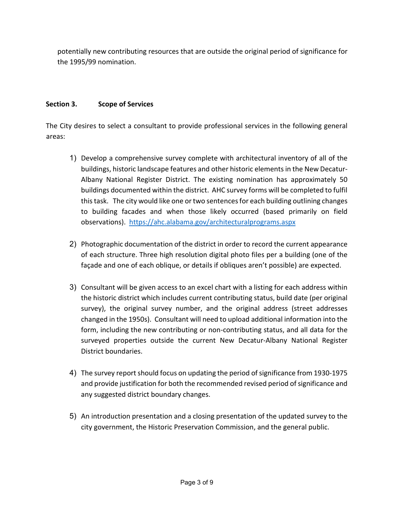potentially new contributing resources that are outside the original period of significance for the 1995/99 nomination.

# **Section 3. Scope of Services**

The City desires to select a consultant to provide professional services in the following general areas:

- 1) Develop a comprehensive survey complete with architectural inventory of all of the buildings, historic landscape features and other historic elements in the New Decatur-Albany National Register District. The existing nomination has approximately 50 buildings documented within the district. AHC survey forms will be completed to fulfil this task. The city would like one or two sentences for each building outlining changes to building facades and when those likely occurred (based primarily on field observations). <https://ahc.alabama.gov/architecturalprograms.aspx>
- 2) Photographic documentation of the district in order to record the current appearance of each structure. Three high resolution digital photo files per a building (one of the façade and one of each oblique, or details if obliques aren't possible) are expected.
- 3) Consultant will be given access to an excel chart with a listing for each address within the historic district which includes current contributing status, build date (per original survey), the original survey number, and the original address (street addresses changed in the 1950s). Consultant will need to upload additional information into the form, including the new contributing or non-contributing status, and all data for the surveyed properties outside the current New Decatur-Albany National Register District boundaries.
- 4) The survey report should focus on updating the period of significance from 1930-1975 and provide justification for both the recommended revised period of significance and any suggested district boundary changes.
- 5) An introduction presentation and a closing presentation of the updated survey to the city government, the Historic Preservation Commission, and the general public.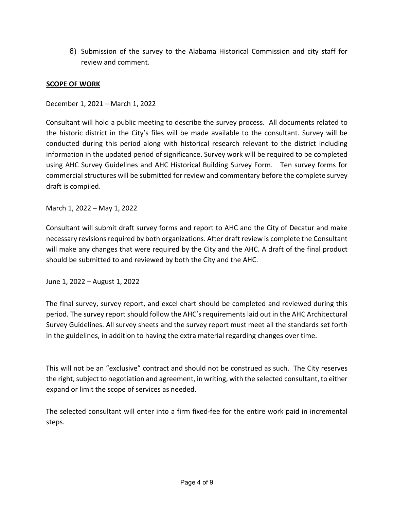6) Submission of the survey to the Alabama Historical Commission and city staff for review and comment.

#### **SCOPE OF WORK**

December 1, 2021 – March 1, 2022

Consultant will hold a public meeting to describe the survey process. All documents related to the historic district in the City's files will be made available to the consultant. Survey will be conducted during this period along with historical research relevant to the district including information in the updated period of significance. Survey work will be required to be completed using AHC Survey Guidelines and AHC Historical Building Survey Form. Ten survey forms for commercial structures will be submitted for review and commentary before the complete survey draft is compiled.

March 1, 2022 – May 1, 2022

Consultant will submit draft survey forms and report to AHC and the City of Decatur and make necessary revisions required by both organizations. After draft review is complete the Consultant will make any changes that were required by the City and the AHC. A draft of the final product should be submitted to and reviewed by both the City and the AHC.

June 1, 2022 – August 1, 2022

The final survey, survey report, and excel chart should be completed and reviewed during this period. The survey report should follow the AHC's requirements laid out in the AHC Architectural Survey Guidelines. All survey sheets and the survey report must meet all the standards set forth in the guidelines, in addition to having the extra material regarding changes over time.

This will not be an "exclusive" contract and should not be construed as such. The City reserves the right, subject to negotiation and agreement, in writing, with the selected consultant, to either expand or limit the scope of services as needed.

The selected consultant will enter into a firm fixed-fee for the entire work paid in incremental steps.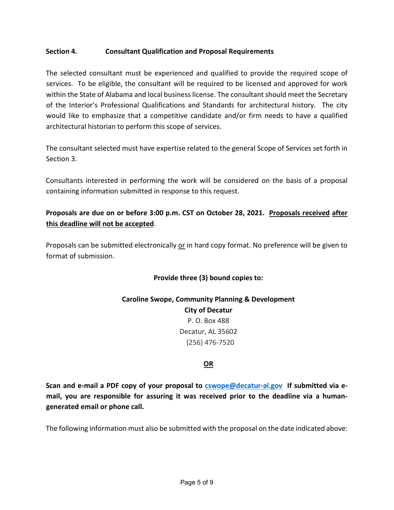### **Section 4. Consultant Qualification and Proposal Requirements**

The selected consultant must be experienced and qualified to provide the required scope of services. To be eligible, the consultant will be required to be licensed and approved for work within the State of Alabama and local business license. The consultant should meet the Secretary of the Interior's Professional Qualifications and Standards for architectural history. The city would like to emphasize that a competitive candidate and/or firm needs to have a qualified architectural historian to perform this scope of services.

The consultant selected must have expertise related to the general Scope of Services set forth in Section 3.

Consultants interested in performing the work will be considered on the basis of a proposal containing information submitted in response to this request.

# **Proposals are due on or before 3:00 p.m. CST on October 28, 2021. Proposals received after this deadline will not be accepted**.

Proposals can be submitted electronically or in hard copy format. No preference will be given to format of submission.

# **Provide three (3) bound copies to:**

**Caroline Swope, Community Planning & Development City of Decatur** P. O. Box 488 Decatur, AL 35602 (256) 476-7520

#### **OR**

**Scan and e-mail a PDF copy of your proposal to [cswope@decatur-al.gov](mailto:cswope@decatur-al.gov) If submitted via email, you are responsible for assuring it was received prior to the deadline via a humangenerated email or phone call.** 

The following information must also be submitted with the proposal on the date indicated above: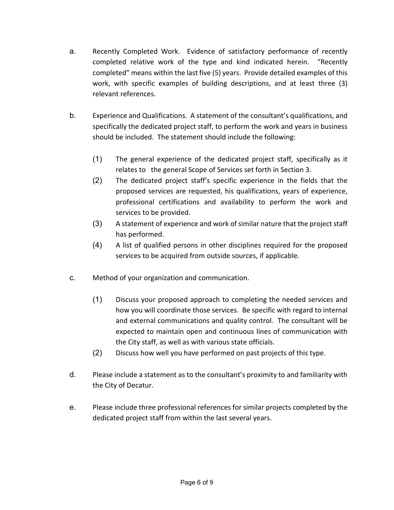- a. Recently Completed Work. Evidence of satisfactory performance of recently completed relative work of the type and kind indicated herein. "Recently completed" means within the last five (5) years. Provide detailed examples of this work, with specific examples of building descriptions, and at least three (3) relevant references.
- b. Experience and Qualifications. A statement of the consultant's qualifications, and specifically the dedicated project staff, to perform the work and years in business should be included. The statement should include the following:
	- (1) The general experience of the dedicated project staff, specifically as it relates to the general Scope of Services set forth in Section 3.
	- (2) The dedicated project staff's specific experience in the fields that the proposed services are requested, his qualifications, years of experience, professional certifications and availability to perform the work and services to be provided.
	- (3) A statement of experience and work of similar nature that the project staff has performed.
	- (4) A list of qualified persons in other disciplines required for the proposed services to be acquired from outside sources, if applicable.
- c. Method of your organization and communication.
	- (1) Discuss your proposed approach to completing the needed services and how you will coordinate those services. Be specific with regard to internal and external communications and quality control. The consultant will be expected to maintain open and continuous lines of communication with the City staff, as well as with various state officials.
	- (2) Discuss how well you have performed on past projects of this type.
- d. Please include a statement as to the consultant's proximity to and familiarity with the City of Decatur.
- e. Please include three professional references for similar projects completed by the dedicated project staff from within the last several years.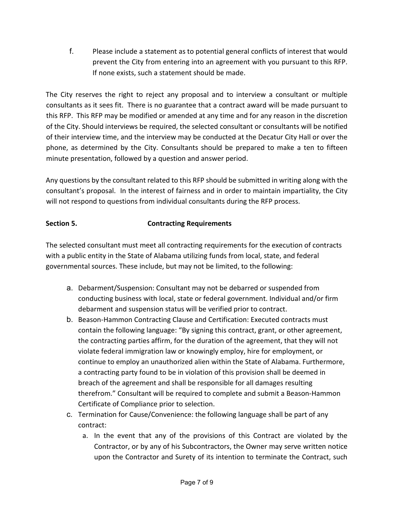f. Please include a statement as to potential general conflicts of interest that would prevent the City from entering into an agreement with you pursuant to this RFP. If none exists, such a statement should be made.

The City reserves the right to reject any proposal and to interview a consultant or multiple consultants as it sees fit. There is no guarantee that a contract award will be made pursuant to this RFP. This RFP may be modified or amended at any time and for any reason in the discretion of the City. Should interviews be required, the selected consultant or consultants will be notified of their interview time, and the interview may be conducted at the Decatur City Hall or over the phone, as determined by the City. Consultants should be prepared to make a ten to fifteen minute presentation, followed by a question and answer period.

Any questions by the consultant related to this RFP should be submitted in writing along with the consultant's proposal. In the interest of fairness and in order to maintain impartiality, the City will not respond to questions from individual consultants during the RFP process.

# **Section 5. Contracting Requirements**

The selected consultant must meet all contracting requirements for the execution of contracts with a public entity in the State of Alabama utilizing funds from local, state, and federal governmental sources. These include, but may not be limited, to the following:

- a. Debarment/Suspension: Consultant may not be debarred or suspended from conducting business with local, state or federal government. Individual and/or firm debarment and suspension status will be verified prior to contract.
- b. Beason-Hammon Contracting Clause and Certification: Executed contracts must contain the following language: "By signing this contract, grant, or other agreement, the contracting parties affirm, for the duration of the agreement, that they will not violate federal immigration law or knowingly employ, hire for employment, or continue to employ an unauthorized alien within the State of Alabama. Furthermore, a contracting party found to be in violation of this provision shall be deemed in breach of the agreement and shall be responsible for all damages resulting therefrom." Consultant will be required to complete and submit a Beason-Hammon Certificate of Compliance prior to selection.
- c. Termination for Cause/Convenience: the following language shall be part of any contract:
	- a. In the event that any of the provisions of this Contract are violated by the Contractor, or by any of his Subcontractors, the Owner may serve written notice upon the Contractor and Surety of its intention to terminate the Contract, such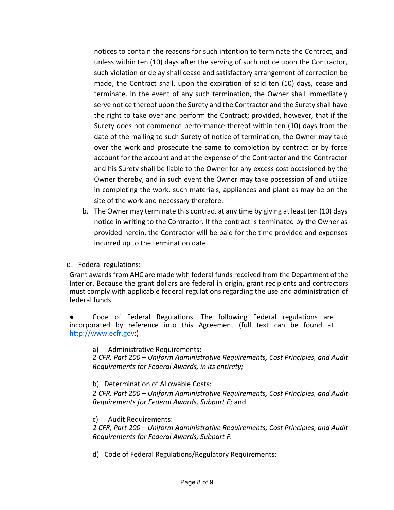notices to contain the reasons for such intention to terminate the Contract, and unless within ten (10) days after the serving of such notice upon the Contractor, such violation or delay shall cease and satisfactory arrangement of correction be made, the Contract shall, upon the expiration of said ten (10) days, cease and terminate. In the event of any such termination, the Owner shall immediately serve notice thereof upon the Surety and the Contractor and the Surety shall have the right to take over and perform the Contract; provided, however, that if the Surety does not commence performance thereof within ten (10) days from the date of the mailing to such Surety of notice of termination, the Owner may take over the work and prosecute the same to completion by contract or by force account for the account and at the expense of the Contractor and the Contractor and his Surety shall be liable to the Owner for any excess cost occasioned by the Owner thereby, and in such event the Owner may take possession of and utilize in completing the work, such materials, appliances and plant as may be on the site of the work and necessary therefore.

b. The Owner may terminate this contract at any time by giving at least ten (10) days notice in writing to the Contractor. If the contract is terminated by the Owner as provided herein, the Contractor will be paid for the time provided and expenses incurred up to the termination date.

d. Federal regulations:

Grant awards from AHC are made with federal funds received from the Department of the Interior. Because the grant dollars are federal in origin, grant recipients and contractors must comply with applicable federal regulations regarding the use and administration of federal funds.

● Code of Federal Regulations. The following Federal regulations are incorporated by reference into this Agreement (full text can be found at [http://www.ecfr.gov:](http://www.ecfr.gov/))

a) Administrative Requirements:

*2 CFR, Part 200 – Uniform Administrative Requirements, Cost Principles, and Audit Requirements for Federal Awards, in its entirety;*

b) Determination of Allowable Costs:

*2 CFR, Part 200 – Uniform Administrative Requirements, Cost Principles, and Audit Requirements for Federal Awards, Subpart E;* and

c) Audit Requirements:

*2 CFR, Part 200 – Uniform Administrative Requirements, Cost Principles, and Audit Requirements for Federal Awards, Subpart F.*

d) Code of Federal Regulations/Regulatory Requirements: